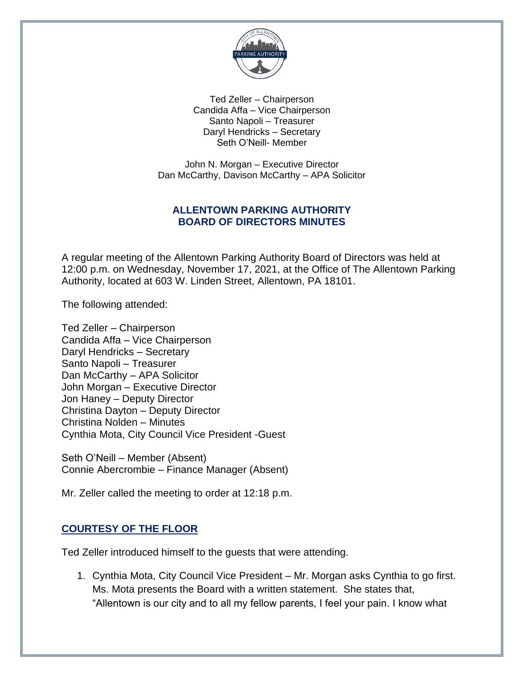

Ted Zeller – Chairperson Candida Affa – Vice Chairperson Santo Napoli – Treasurer Daryl Hendricks – Secretary Seth O'Neill- Member

John N. Morgan – Executive Director Dan McCarthy, Davison McCarthy – APA Solicitor

## **ALLENTOWN PARKING AUTHORITY BOARD OF DIRECTORS MINUTES**

A regular meeting of the Allentown Parking Authority Board of Directors was held at 12:00 p.m. on Wednesday, November 17, 2021, at the Office of The Allentown Parking Authority, located at 603 W. Linden Street, Allentown, PA 18101.

The following attended:

Ted Zeller – Chairperson Candida Affa – Vice Chairperson Daryl Hendricks – Secretary Santo Napoli – Treasurer Dan McCarthy – APA Solicitor John Morgan – Executive Director Jon Haney – Deputy Director Christina Dayton – Deputy Director Christina Nolden – Minutes Cynthia Mota, City Council Vice President -Guest

Seth O'Neill – Member (Absent) Connie Abercrombie – Finance Manager (Absent)

Mr. Zeller called the meeting to order at 12:18 p.m.

## **COURTESY OF THE FLOOR**

Ted Zeller introduced himself to the guests that were attending.

1. Cynthia Mota, City Council Vice President – Mr. Morgan asks Cynthia to go first. Ms. Mota presents the Board with a written statement. She states that, "Allentown is our city and to all my fellow parents, I feel your pain. I know what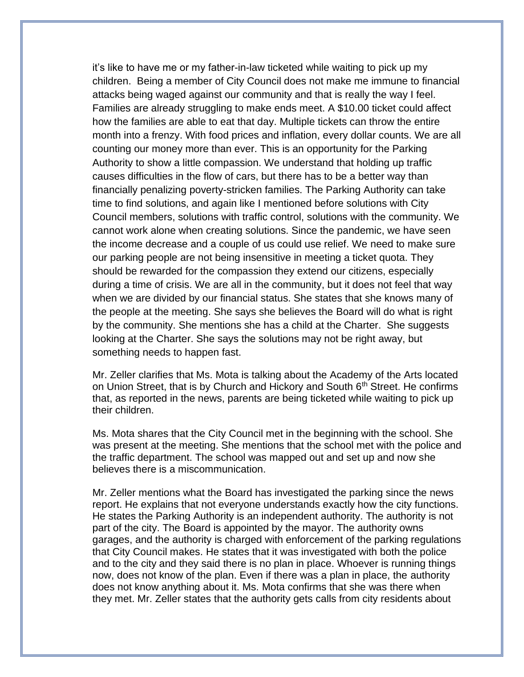it's like to have me or my father-in-law ticketed while waiting to pick up my children. Being a member of City Council does not make me immune to financial attacks being waged against our community and that is really the way I feel. Families are already struggling to make ends meet. A \$10.00 ticket could affect how the families are able to eat that day. Multiple tickets can throw the entire month into a frenzy. With food prices and inflation, every dollar counts. We are all counting our money more than ever. This is an opportunity for the Parking Authority to show a little compassion. We understand that holding up traffic causes difficulties in the flow of cars, but there has to be a better way than financially penalizing poverty-stricken families. The Parking Authority can take time to find solutions, and again like I mentioned before solutions with City Council members, solutions with traffic control, solutions with the community. We cannot work alone when creating solutions. Since the pandemic, we have seen the income decrease and a couple of us could use relief. We need to make sure our parking people are not being insensitive in meeting a ticket quota. They should be rewarded for the compassion they extend our citizens, especially during a time of crisis. We are all in the community, but it does not feel that way when we are divided by our financial status. She states that she knows many of the people at the meeting. She says she believes the Board will do what is right by the community. She mentions she has a child at the Charter. She suggests looking at the Charter. She says the solutions may not be right away, but something needs to happen fast.

Mr. Zeller clarifies that Ms. Mota is talking about the Academy of the Arts located on Union Street, that is by Church and Hickory and South 6<sup>th</sup> Street. He confirms that, as reported in the news, parents are being ticketed while waiting to pick up their children.

Ms. Mota shares that the City Council met in the beginning with the school. She was present at the meeting. She mentions that the school met with the police and the traffic department. The school was mapped out and set up and now she believes there is a miscommunication.

Mr. Zeller mentions what the Board has investigated the parking since the news report. He explains that not everyone understands exactly how the city functions. He states the Parking Authority is an independent authority. The authority is not part of the city. The Board is appointed by the mayor. The authority owns garages, and the authority is charged with enforcement of the parking regulations that City Council makes. He states that it was investigated with both the police and to the city and they said there is no plan in place. Whoever is running things now, does not know of the plan. Even if there was a plan in place, the authority does not know anything about it. Ms. Mota confirms that she was there when they met. Mr. Zeller states that the authority gets calls from city residents about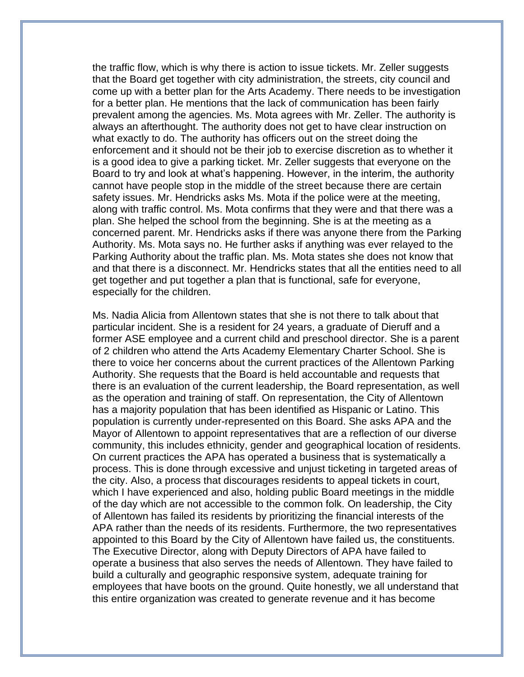the traffic flow, which is why there is action to issue tickets. Mr. Zeller suggests that the Board get together with city administration, the streets, city council and come up with a better plan for the Arts Academy. There needs to be investigation for a better plan. He mentions that the lack of communication has been fairly prevalent among the agencies. Ms. Mota agrees with Mr. Zeller. The authority is always an afterthought. The authority does not get to have clear instruction on what exactly to do. The authority has officers out on the street doing the enforcement and it should not be their job to exercise discretion as to whether it is a good idea to give a parking ticket. Mr. Zeller suggests that everyone on the Board to try and look at what's happening. However, in the interim, the authority cannot have people stop in the middle of the street because there are certain safety issues. Mr. Hendricks asks Ms. Mota if the police were at the meeting, along with traffic control. Ms. Mota confirms that they were and that there was a plan. She helped the school from the beginning. She is at the meeting as a concerned parent. Mr. Hendricks asks if there was anyone there from the Parking Authority. Ms. Mota says no. He further asks if anything was ever relayed to the Parking Authority about the traffic plan. Ms. Mota states she does not know that and that there is a disconnect. Mr. Hendricks states that all the entities need to all get together and put together a plan that is functional, safe for everyone, especially for the children.

Ms. Nadia Alicia from Allentown states that she is not there to talk about that particular incident. She is a resident for 24 years, a graduate of Dieruff and a former ASE employee and a current child and preschool director. She is a parent of 2 children who attend the Arts Academy Elementary Charter School. She is there to voice her concerns about the current practices of the Allentown Parking Authority. She requests that the Board is held accountable and requests that there is an evaluation of the current leadership, the Board representation, as well as the operation and training of staff. On representation, the City of Allentown has a majority population that has been identified as Hispanic or Latino. This population is currently under-represented on this Board. She asks APA and the Mayor of Allentown to appoint representatives that are a reflection of our diverse community, this includes ethnicity, gender and geographical location of residents. On current practices the APA has operated a business that is systematically a process. This is done through excessive and unjust ticketing in targeted areas of the city. Also, a process that discourages residents to appeal tickets in court, which I have experienced and also, holding public Board meetings in the middle of the day which are not accessible to the common folk. On leadership, the City of Allentown has failed its residents by prioritizing the financial interests of the APA rather than the needs of its residents. Furthermore, the two representatives appointed to this Board by the City of Allentown have failed us, the constituents. The Executive Director, along with Deputy Directors of APA have failed to operate a business that also serves the needs of Allentown. They have failed to build a culturally and geographic responsive system, adequate training for employees that have boots on the ground. Quite honestly, we all understand that this entire organization was created to generate revenue and it has become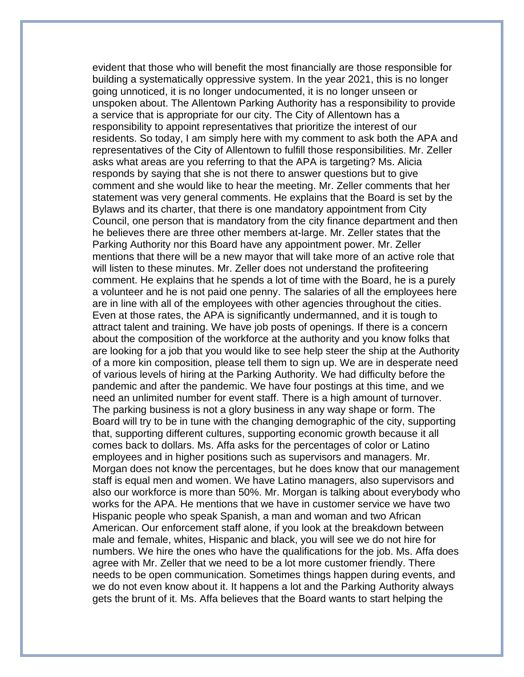evident that those who will benefit the most financially are those responsible for building a systematically oppressive system. In the year 2021, this is no longer going unnoticed, it is no longer undocumented, it is no longer unseen or unspoken about. The Allentown Parking Authority has a responsibility to provide a service that is appropriate for our city. The City of Allentown has a responsibility to appoint representatives that prioritize the interest of our residents. So today, I am simply here with my comment to ask both the APA and representatives of the City of Allentown to fulfill those responsibilities. Mr. Zeller asks what areas are you referring to that the APA is targeting? Ms. Alicia responds by saying that she is not there to answer questions but to give comment and she would like to hear the meeting. Mr. Zeller comments that her statement was very general comments. He explains that the Board is set by the Bylaws and its charter, that there is one mandatory appointment from City Council, one person that is mandatory from the city finance department and then he believes there are three other members at-large. Mr. Zeller states that the Parking Authority nor this Board have any appointment power. Mr. Zeller mentions that there will be a new mayor that will take more of an active role that will listen to these minutes. Mr. Zeller does not understand the profiteering comment. He explains that he spends a lot of time with the Board, he is a purely a volunteer and he is not paid one penny. The salaries of all the employees here are in line with all of the employees with other agencies throughout the cities. Even at those rates, the APA is significantly undermanned, and it is tough to attract talent and training. We have job posts of openings. If there is a concern about the composition of the workforce at the authority and you know folks that are looking for a job that you would like to see help steer the ship at the Authority of a more kin composition, please tell them to sign up. We are in desperate need of various levels of hiring at the Parking Authority. We had difficulty before the pandemic and after the pandemic. We have four postings at this time, and we need an unlimited number for event staff. There is a high amount of turnover. The parking business is not a glory business in any way shape or form. The Board will try to be in tune with the changing demographic of the city, supporting that, supporting different cultures, supporting economic growth because it all comes back to dollars. Ms. Affa asks for the percentages of color or Latino employees and in higher positions such as supervisors and managers. Mr. Morgan does not know the percentages, but he does know that our management staff is equal men and women. We have Latino managers, also supervisors and also our workforce is more than 50%. Mr. Morgan is talking about everybody who works for the APA. He mentions that we have in customer service we have two Hispanic people who speak Spanish, a man and woman and two African American. Our enforcement staff alone, if you look at the breakdown between male and female, whites, Hispanic and black, you will see we do not hire for numbers. We hire the ones who have the qualifications for the job. Ms. Affa does agree with Mr. Zeller that we need to be a lot more customer friendly. There needs to be open communication. Sometimes things happen during events, and we do not even know about it. It happens a lot and the Parking Authority always gets the brunt of it. Ms. Affa believes that the Board wants to start helping the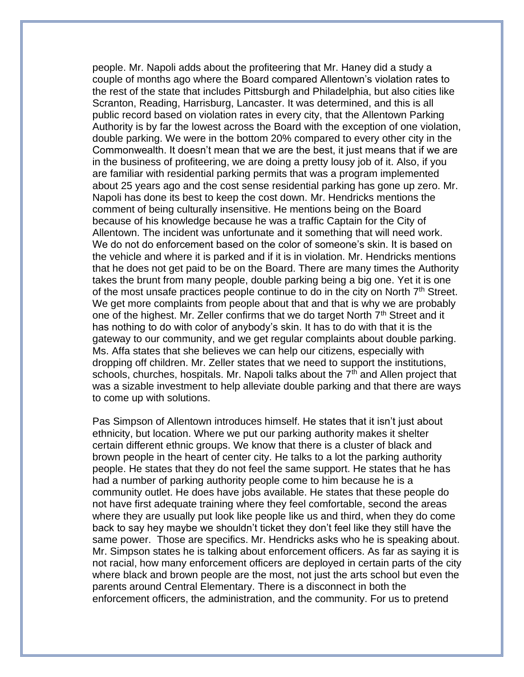people. Mr. Napoli adds about the profiteering that Mr. Haney did a study a couple of months ago where the Board compared Allentown's violation rates to the rest of the state that includes Pittsburgh and Philadelphia, but also cities like Scranton, Reading, Harrisburg, Lancaster. It was determined, and this is all public record based on violation rates in every city, that the Allentown Parking Authority is by far the lowest across the Board with the exception of one violation, double parking. We were in the bottom 20% compared to every other city in the Commonwealth. It doesn't mean that we are the best, it just means that if we are in the business of profiteering, we are doing a pretty lousy job of it. Also, if you are familiar with residential parking permits that was a program implemented about 25 years ago and the cost sense residential parking has gone up zero. Mr. Napoli has done its best to keep the cost down. Mr. Hendricks mentions the comment of being culturally insensitive. He mentions being on the Board because of his knowledge because he was a traffic Captain for the City of Allentown. The incident was unfortunate and it something that will need work. We do not do enforcement based on the color of someone's skin. It is based on the vehicle and where it is parked and if it is in violation. Mr. Hendricks mentions that he does not get paid to be on the Board. There are many times the Authority takes the brunt from many people, double parking being a big one. Yet it is one of the most unsafe practices people continue to do in the city on North  $7<sup>th</sup>$  Street. We get more complaints from people about that and that is why we are probably one of the highest. Mr. Zeller confirms that we do target North 7<sup>th</sup> Street and it has nothing to do with color of anybody's skin. It has to do with that it is the gateway to our community, and we get regular complaints about double parking. Ms. Affa states that she believes we can help our citizens, especially with dropping off children. Mr. Zeller states that we need to support the institutions, schools, churches, hospitals. Mr. Napoli talks about the  $7<sup>th</sup>$  and Allen project that was a sizable investment to help alleviate double parking and that there are ways to come up with solutions.

Pas Simpson of Allentown introduces himself. He states that it isn't just about ethnicity, but location. Where we put our parking authority makes it shelter certain different ethnic groups. We know that there is a cluster of black and brown people in the heart of center city. He talks to a lot the parking authority people. He states that they do not feel the same support. He states that he has had a number of parking authority people come to him because he is a community outlet. He does have jobs available. He states that these people do not have first adequate training where they feel comfortable, second the areas where they are usually put look like people like us and third, when they do come back to say hey maybe we shouldn't ticket they don't feel like they still have the same power. Those are specifics. Mr. Hendricks asks who he is speaking about. Mr. Simpson states he is talking about enforcement officers. As far as saying it is not racial, how many enforcement officers are deployed in certain parts of the city where black and brown people are the most, not just the arts school but even the parents around Central Elementary. There is a disconnect in both the enforcement officers, the administration, and the community. For us to pretend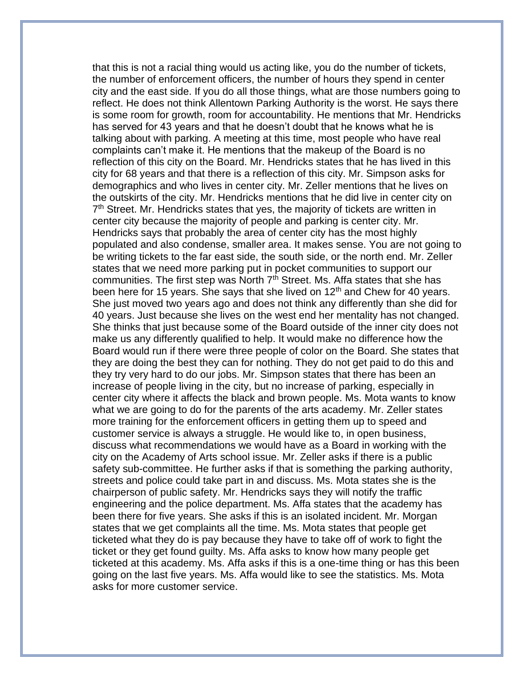that this is not a racial thing would us acting like, you do the number of tickets, the number of enforcement officers, the number of hours they spend in center city and the east side. If you do all those things, what are those numbers going to reflect. He does not think Allentown Parking Authority is the worst. He says there is some room for growth, room for accountability. He mentions that Mr. Hendricks has served for 43 years and that he doesn't doubt that he knows what he is talking about with parking. A meeting at this time, most people who have real complaints can't make it. He mentions that the makeup of the Board is no reflection of this city on the Board. Mr. Hendricks states that he has lived in this city for 68 years and that there is a reflection of this city. Mr. Simpson asks for demographics and who lives in center city. Mr. Zeller mentions that he lives on the outskirts of the city. Mr. Hendricks mentions that he did live in center city on 7<sup>th</sup> Street. Mr. Hendricks states that yes, the majority of tickets are written in center city because the majority of people and parking is center city. Mr. Hendricks says that probably the area of center city has the most highly populated and also condense, smaller area. It makes sense. You are not going to be writing tickets to the far east side, the south side, or the north end. Mr. Zeller states that we need more parking put in pocket communities to support our communities. The first step was North  $7<sup>th</sup>$  Street. Ms. Affa states that she has been here for 15 years. She says that she lived on  $12<sup>th</sup>$  and Chew for 40 years. She just moved two years ago and does not think any differently than she did for 40 years. Just because she lives on the west end her mentality has not changed. She thinks that just because some of the Board outside of the inner city does not make us any differently qualified to help. It would make no difference how the Board would run if there were three people of color on the Board. She states that they are doing the best they can for nothing. They do not get paid to do this and they try very hard to do our jobs. Mr. Simpson states that there has been an increase of people living in the city, but no increase of parking, especially in center city where it affects the black and brown people. Ms. Mota wants to know what we are going to do for the parents of the arts academy. Mr. Zeller states more training for the enforcement officers in getting them up to speed and customer service is always a struggle. He would like to, in open business, discuss what recommendations we would have as a Board in working with the city on the Academy of Arts school issue. Mr. Zeller asks if there is a public safety sub-committee. He further asks if that is something the parking authority, streets and police could take part in and discuss. Ms. Mota states she is the chairperson of public safety. Mr. Hendricks says they will notify the traffic engineering and the police department. Ms. Affa states that the academy has been there for five years. She asks if this is an isolated incident. Mr. Morgan states that we get complaints all the time. Ms. Mota states that people get ticketed what they do is pay because they have to take off of work to fight the ticket or they get found guilty. Ms. Affa asks to know how many people get ticketed at this academy. Ms. Affa asks if this is a one-time thing or has this been going on the last five years. Ms. Affa would like to see the statistics. Ms. Mota asks for more customer service.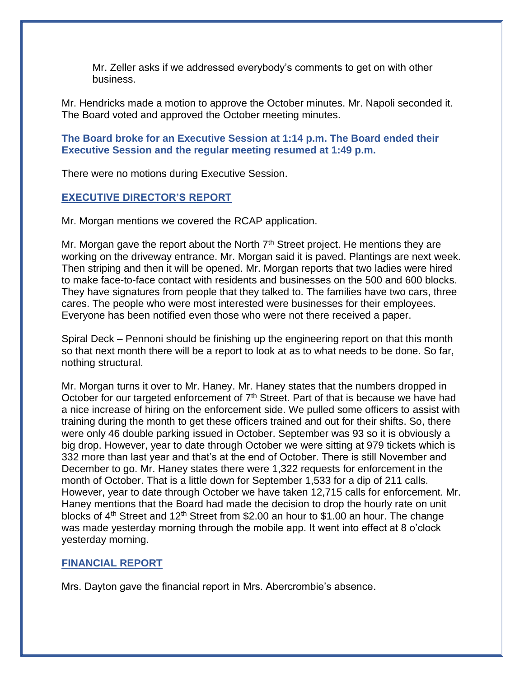Mr. Zeller asks if we addressed everybody's comments to get on with other business.

Mr. Hendricks made a motion to approve the October minutes. Mr. Napoli seconded it. The Board voted and approved the October meeting minutes.

**The Board broke for an Executive Session at 1:14 p.m. The Board ended their Executive Session and the regular meeting resumed at 1:49 p.m.**

There were no motions during Executive Session.

## **EXECUTIVE DIRECTOR'S REPORT**

Mr. Morgan mentions we covered the RCAP application.

Mr. Morgan gave the report about the North  $7<sup>th</sup>$  Street project. He mentions they are working on the driveway entrance. Mr. Morgan said it is paved. Plantings are next week. Then striping and then it will be opened. Mr. Morgan reports that two ladies were hired to make face-to-face contact with residents and businesses on the 500 and 600 blocks. They have signatures from people that they talked to. The families have two cars, three cares. The people who were most interested were businesses for their employees. Everyone has been notified even those who were not there received a paper.

Spiral Deck – Pennoni should be finishing up the engineering report on that this month so that next month there will be a report to look at as to what needs to be done. So far, nothing structural.

Mr. Morgan turns it over to Mr. Haney. Mr. Haney states that the numbers dropped in October for our targeted enforcement of  $7<sup>th</sup>$  Street. Part of that is because we have had a nice increase of hiring on the enforcement side. We pulled some officers to assist with training during the month to get these officers trained and out for their shifts. So, there were only 46 double parking issued in October. September was 93 so it is obviously a big drop. However, year to date through October we were sitting at 979 tickets which is 332 more than last year and that's at the end of October. There is still November and December to go. Mr. Haney states there were 1,322 requests for enforcement in the month of October. That is a little down for September 1,533 for a dip of 211 calls. However, year to date through October we have taken 12,715 calls for enforcement. Mr. Haney mentions that the Board had made the decision to drop the hourly rate on unit blocks of  $4<sup>th</sup>$  Street and 12<sup>th</sup> Street from \$2.00 an hour to \$1.00 an hour. The change was made yesterday morning through the mobile app. It went into effect at 8 o'clock yesterday morning.

## **FINANCIAL REPORT**

Mrs. Dayton gave the financial report in Mrs. Abercrombie's absence.